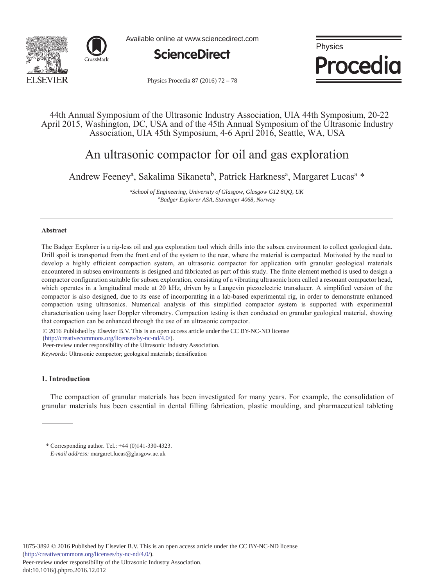



Available online at www.sciencedirect.com



Physics Procedia

Physics Procedia 87 (2016) 72 - 78

# 44th Annual Symposium of the Ultrasonic Industry Association, UIA 44th Symposium, 20-22 April 2015, Washington, DC, USA and of the 45th Annual Symposium of the Ultrasonic Industry Association, UIA 45th Symposium, 4-6 April 2016, Seattle, WA, USA

# An ultrasonic compactor for oil and gas exploration

Andrew Feeney<sup>a</sup>, Sakalima Sikaneta<sup>b</sup>, Patrick Harkness<sup>a</sup>, Margaret Lucas<sup>a</sup> \*

*a School of Engineering, University of Glasgow, Glasgow G12 8QQ, UK b Badger Explorer ASA, Stavanger 4068, Norway* 

# **Abstract**

The Badger Explorer is a rig-less oil and gas exploration tool which drills into the subsea environment to collect geological data. Drill spoil is transported from the front end of the system to the rear, where the material is compacted. Motivated by the need to develop a highly efficient compaction system, an ultrasonic compactor for application with granular geological materials encountered in subsea environments is designed and fabricated as part of this study. The finite element method is used to design a compactor configuration suitable for subsea exploration, consisting of a vibrating ultrasonic horn called a resonant compactor head, which operates in a longitudinal mode at 20 kHz, driven by a Langevin piezoelectric transducer. A simplified version of the compactor is also designed, due to its ease of incorporating in a lab-based experimental rig, in order to demonstrate enhanced compaction using ultrasonics. Numerical analysis of this simplified compactor system is supported with experimental characterisation using laser Doppler vibrometry. Compaction testing is then conducted on granular geological material, showing that compaction can be enhanced through the use of an ultrasonic compactor.

© 2016 Published by Elsevier B.V. This is an open access article under the CC BY-NC-ND license

(http://creativecommons.org/licenses/by-nc-nd/4.0/).

Peer-review under responsibility of the Ultrasonic Industry Association.

*Keywords:* Ultrasonic compactor; geological materials; densification

# **1. Introduction**

The compaction of granular materials has been investigated for many years. For example, the consolidation of granular materials has been essential in dental filling fabrication, plastic moulding, and pharmaceutical tableting

<sup>\*</sup> Corresponding author. Tel.: +44 (0)141-330-4323. *E-mail address:* margaret.lucas@glasgow.ac.uk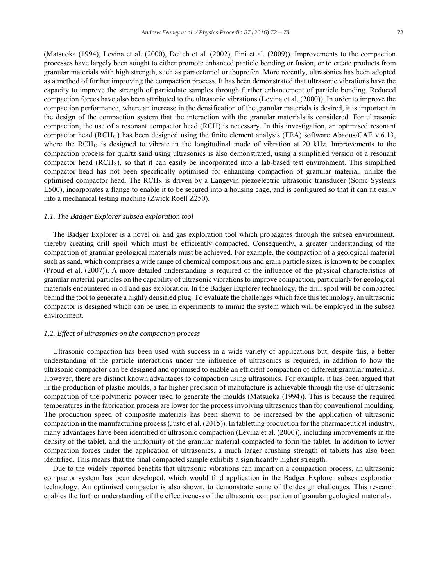(Matsuoka (1994), Levina et al. (2000), Deitch et al. (2002), Fini et al. (2009)). Improvements to the compaction processes have largely been sought to either promote enhanced particle bonding or fusion, or to create products from granular materials with high strength, such as paracetamol or ibuprofen. More recently, ultrasonics has been adopted as a method of further improving the compaction process. It has been demonstrated that ultrasonic vibrations have the capacity to improve the strength of particulate samples through further enhancement of particle bonding. Reduced compaction forces have also been attributed to the ultrasonic vibrations (Levina et al. (2000)). In order to improve the compaction performance, where an increase in the densification of the granular materials is desired, it is important in the design of the compaction system that the interaction with the granular materials is considered. For ultrasonic compaction, the use of a resonant compactor head (RCH) is necessary. In this investigation, an optimised resonant compactor head (RCHO) has been designed using the finite element analysis (FEA) software Abaqus/CAE v.6.13, where the  $RCH<sub>0</sub>$  is designed to vibrate in the longitudinal mode of vibration at 20 kHz. Improvements to the compaction process for quartz sand using ultrasonics is also demonstrated, using a simplified version of a resonant compactor head (RCHS), so that it can easily be incorporated into a lab-based test environment. This simplified compactor head has not been specifically optimised for enhancing compaction of granular material, unlike the optimised compactor head. The RCH<sub>S</sub> is driven by a Langevin piezoelectric ultrasonic transducer (Sonic Systems L500), incorporates a flange to enable it to be secured into a housing cage, and is configured so that it can fit easily into a mechanical testing machine (Zwick Roell Z250).

#### *1.1. The Badger Explorer subsea exploration tool*

The Badger Explorer is a novel oil and gas exploration tool which propagates through the subsea environment, thereby creating drill spoil which must be efficiently compacted. Consequently, a greater understanding of the compaction of granular geological materials must be achieved. For example, the compaction of a geological material such as sand, which comprises a wide range of chemical compositions and grain particle sizes, is known to be complex (Proud et al. (2007)). A more detailed understanding is required of the influence of the physical characteristics of granular material particles on the capability of ultrasonic vibrations to improve compaction, particularly for geological materials encountered in oil and gas exploration. In the Badger Explorer technology, the drill spoil will be compacted behind the tool to generate a highly densified plug. To evaluate the challenges which face this technology, an ultrasonic compactor is designed which can be used in experiments to mimic the system which will be employed in the subsea environment.

#### *1.2. Effect of ultrasonics on the compaction process*

Ultrasonic compaction has been used with success in a wide variety of applications but, despite this, a better understanding of the particle interactions under the influence of ultrasonics is required, in addition to how the ultrasonic compactor can be designed and optimised to enable an efficient compaction of different granular materials. However, there are distinct known advantages to compaction using ultrasonics. For example, it has been argued that in the production of plastic moulds, a far higher precision of manufacture is achievable through the use of ultrasonic compaction of the polymeric powder used to generate the moulds (Matsuoka (1994)). This is because the required temperatures in the fabrication process are lower for the process involving ultrasonics than for conventional moulding. The production speed of composite materials has been shown to be increased by the application of ultrasonic compaction in the manufacturing process (Justo et al. (2015)). In tabletting production for the pharmaceutical industry, many advantages have been identified of ultrasonic compaction (Levina et al. (2000)), including improvements in the density of the tablet, and the uniformity of the granular material compacted to form the tablet. In addition to lower compaction forces under the application of ultrasonics, a much larger crushing strength of tablets has also been identified. This means that the final compacted sample exhibits a significantly higher strength.

Due to the widely reported benefits that ultrasonic vibrations can impart on a compaction process, an ultrasonic compactor system has been developed, which would find application in the Badger Explorer subsea exploration technology. An optimised compactor is also shown, to demonstrate some of the design challenges. This research enables the further understanding of the effectiveness of the ultrasonic compaction of granular geological materials.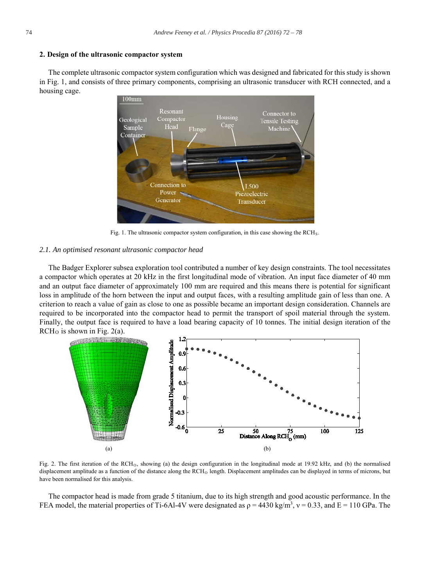#### **2. Design of the ultrasonic compactor system**

The complete ultrasonic compactor system configuration which was designed and fabricated for this study is shown in Fig. 1, and consists of three primary components, comprising an ultrasonic transducer with RCH connected, and a housing cage.



Fig. 1. The ultrasonic compactor system configuration, in this case showing the RCH<sub>S</sub>.

#### *2.1. An optimised resonant ultrasonic compactor head*

The Badger Explorer subsea exploration tool contributed a number of key design constraints. The tool necessitates a compactor which operates at 20 kHz in the first longitudinal mode of vibration. An input face diameter of 40 mm and an output face diameter of approximately 100 mm are required and this means there is potential for significant loss in amplitude of the horn between the input and output faces, with a resulting amplitude gain of less than one. A criterion to reach a value of gain as close to one as possible became an important design consideration. Channels are required to be incorporated into the compactor head to permit the transport of spoil material through the system. Finally, the output face is required to have a load bearing capacity of 10 tonnes. The initial design iteration of the  $RCH<sub>O</sub>$  is shown in Fig. 2(a).



Fig. 2. The first iteration of the RCH<sub>O</sub>, showing (a) the design configuration in the longitudinal mode at 19.92 kHz, and (b) the normalised displacement amplitude as a function of the distance along the RCH<sub>O</sub> length. Displacement amplitudes can be displayed in terms of microns, but have been normalised for this analysis.

The compactor head is made from grade 5 titanium, due to its high strength and good acoustic performance. In the FEA model, the material properties of Ti-6Al-4V were designated as  $\rho = 4430 \text{ kg/m}^3$ ,  $v = 0.33$ , and E = 110 GPa. The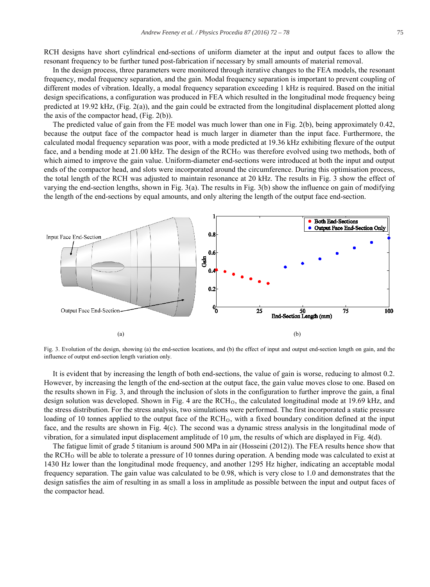RCH designs have short cylindrical end-sections of uniform diameter at the input and output faces to allow the resonant frequency to be further tuned post-fabrication if necessary by small amounts of material removal.

In the design process, three parameters were monitored through iterative changes to the FEA models, the resonant frequency, modal frequency separation, and the gain. Modal frequency separation is important to prevent coupling of different modes of vibration. Ideally, a modal frequency separation exceeding 1 kHz is required. Based on the initial design specifications, a configuration was produced in FEA which resulted in the longitudinal mode frequency being predicted at 19.92 kHz, (Fig. 2(a)), and the gain could be extracted from the longitudinal displacement plotted along the axis of the compactor head, (Fig. 2(b)).

The predicted value of gain from the FE model was much lower than one in Fig. 2(b), being approximately 0.42, because the output face of the compactor head is much larger in diameter than the input face. Furthermore, the calculated modal frequency separation was poor, with a mode predicted at 19.36 kHz exhibiting flexure of the output face, and a bending mode at  $21.00 \text{ kHz}$ . The design of the  $RCH<sub>O</sub>$  was therefore evolved using two methods, both of which aimed to improve the gain value. Uniform-diameter end-sections were introduced at both the input and output ends of the compactor head, and slots were incorporated around the circumference. During this optimisation process, the total length of the RCH was adjusted to maintain resonance at 20 kHz. The results in Fig. 3 show the effect of varying the end-section lengths, shown in Fig. 3(a). The results in Fig. 3(b) show the influence on gain of modifying the length of the end-sections by equal amounts, and only altering the length of the output face end-section.



Fig. 3. Evolution of the design, showing (a) the end-section locations, and (b) the effect of input and output end-section length on gain, and the influence of output end-section length variation only.

It is evident that by increasing the length of both end-sections, the value of gain is worse, reducing to almost 0.2. However, by increasing the length of the end-section at the output face, the gain value moves close to one. Based on the results shown in Fig. 3, and through the inclusion of slots in the configuration to further improve the gain, a final design solution was developed. Shown in Fig. 4 are the  $RCH<sub>O</sub>$ , the calculated longitudinal mode at 19.69 kHz, and the stress distribution. For the stress analysis, two simulations were performed. The first incorporated a static pressure loading of 10 tonnes applied to the output face of the RCH<sub>O</sub>, with a fixed boundary condition defined at the input face, and the results are shown in Fig. 4(c). The second was a dynamic stress analysis in the longitudinal mode of vibration, for a simulated input displacement amplitude of 10 μm, the results of which are displayed in Fig. 4(d).

The fatigue limit of grade 5 titanium is around 500 MPa in air (Hosseini (2012)). The FEA results hence show that the RCHO will be able to tolerate a pressure of 10 tonnes during operation. A bending mode was calculated to exist at 1430 Hz lower than the longitudinal mode frequency, and another 1295 Hz higher, indicating an acceptable modal frequency separation. The gain value was calculated to be 0.98, which is very close to 1.0 and demonstrates that the design satisfies the aim of resulting in as small a loss in amplitude as possible between the input and output faces of the compactor head.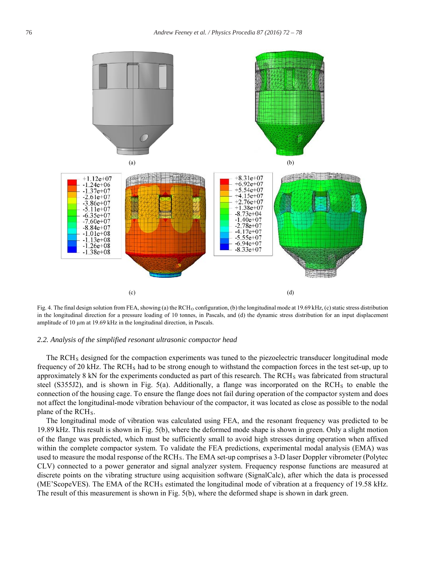

Fig. 4. The final design solution from FEA, showing (a) the RCH<sub>O</sub> configuration, (b) the longitudinal mode at 19.69 kHz, (c) static stress distribution in the longitudinal direction for a pressure loading of 10 tonnes, in Pascals, and (d) the dynamic stress distribution for an input displacement amplitude of 10 μm at 19.69 kHz in the longitudinal direction, in Pascals.

#### *2.2. Analysis of the simplified resonant ultrasonic compactor head*

The RCHS designed for the compaction experiments was tuned to the piezoelectric transducer longitudinal mode frequency of 20 kHz. The RCH<sub>S</sub> had to be strong enough to withstand the compaction forces in the test set-up, up to approximately 8 kN for the experiments conducted as part of this research. The RCH<sub>S</sub> was fabricated from structural steel (S355J2), and is shown in Fig. 5(a). Additionally, a flange was incorporated on the RCH<sub>S</sub> to enable the connection of the housing cage. To ensure the flange does not fail during operation of the compactor system and does not affect the longitudinal-mode vibration behaviour of the compactor, it was located as close as possible to the nodal plane of the RCH<sub>s</sub>.

The longitudinal mode of vibration was calculated using FEA, and the resonant frequency was predicted to be 19.89 kHz. This result is shown in Fig. 5(b), where the deformed mode shape is shown in green. Only a slight motion of the flange was predicted, which must be sufficiently small to avoid high stresses during operation when affixed within the complete compactor system. To validate the FEA predictions, experimental modal analysis (EMA) was used to measure the modal response of the RCH<sub>S</sub>. The EMA set-up comprises a 3-D laser Doppler vibrometer (Polytec CLV) connected to a power generator and signal analyzer system. Frequency response functions are measured at discrete points on the vibrating structure using acquisition software (SignalCalc), after which the data is processed (ME'ScopeVES). The EMA of the RCH<sub>S</sub> estimated the longitudinal mode of vibration at a frequency of 19.58 kHz. The result of this measurement is shown in Fig. 5(b), where the deformed shape is shown in dark green.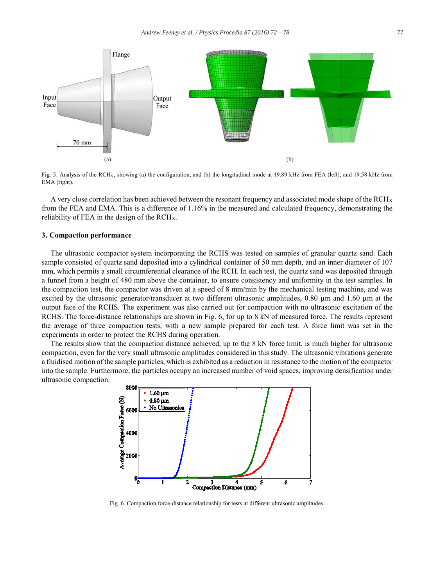

Fig. 5. Analysis of the RCH<sub>S</sub>, showing (a) the configuration, and (b) the longitudinal mode at 19.89 kHz from FEA (left), and 19.58 kHz from EMA (right).

A very close correlation has been achieved between the resonant frequency and associated mode shape of the  $RCH<sub>S</sub>$ from the FEA and EMA. This is a difference of 1.16% in the measured and calculated frequency, demonstrating the reliability of FEA in the design of the RCH<sub>S</sub>.

#### **3. Compaction performance**

The ultrasonic compactor system incorporating the RCHS was tested on samples of granular quartz sand. Each sample consisted of quartz sand deposited into a cylindrical container of 50 mm depth, and an inner diameter of 107 mm, which permits a small circumferential clearance of the RCH. In each test, the quartz sand was deposited through a funnel from a height of 480 mm above the container, to ensure consistency and uniformity in the test samples. In the compaction test, the compactor was driven at a speed of 8 mm/min by the mechanical testing machine, and was excited by the ultrasonic generator/transducer at two different ultrasonic amplitudes, 0.80 μm and 1.60 μm at the output face of the RCHS. The experiment was also carried out for compaction with no ultrasonic excitation of the RCHS. The force-distance relationships are shown in Fig. 6, for up to 8 kN of measured force. The results represent the average of three compaction tests, with a new sample prepared for each test. A force limit was set in the experiments in order to protect the RCHS during operation.

The results show that the compaction distance achieved, up to the 8 kN force limit, is much higher for ultrasonic compaction, even for the very small ultrasonic amplitudes considered in this study. The ultrasonic vibrations generate a fluidised motion of the sample particles, which is exhibited as a reduction in resistance to the motion of the compactor into the sample. Furthermore, the particles occupy an increased number of void spaces, improving densification under ultrasonic compaction.



Fig. 6. Compaction force-distance relationship for tests at different ultrasonic amplitudes.